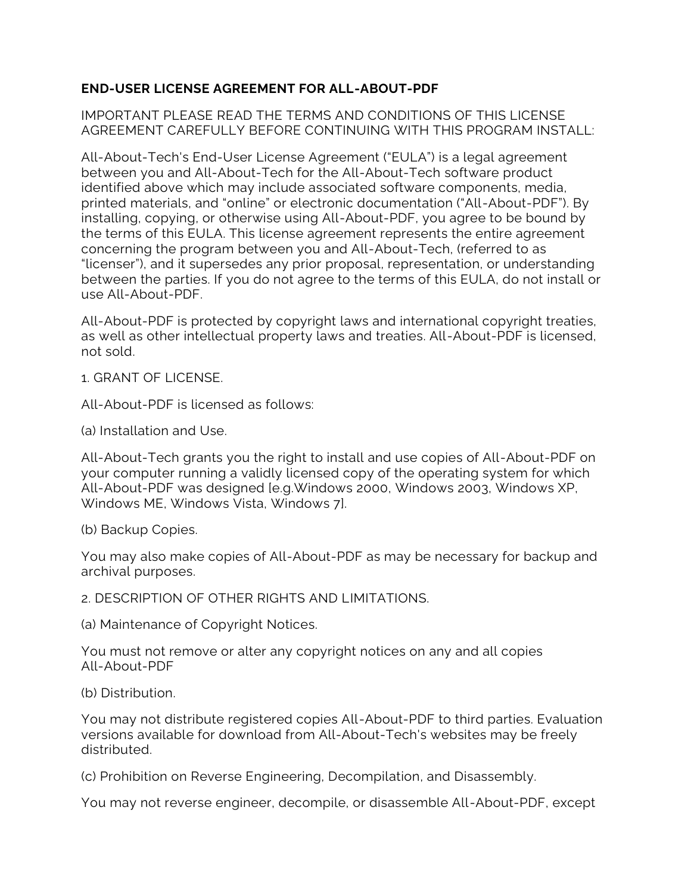## **END-USER LICENSE AGREEMENT FOR ALL-ABOUT-PDF**

IMPORTANT PLEASE READ THE TERMS AND CONDITIONS OF THIS LICENSE AGREEMENT CAREFULLY BEFORE CONTINUING WITH THIS PROGRAM INSTALL:

All-About-Tech's End-User License Agreement ("EULA") is a legal agreement between you and All-About-Tech for the All-About-Tech software product identified above which may include associated software components, media, printed materials, and "online" or electronic documentation ("All-About-PDF"). By installing, copying, or otherwise using All-About-PDF, you agree to be bound by the terms of this EULA. This license agreement represents the entire agreement concerning the program between you and All-About-Tech, (referred to as "licenser"), and it supersedes any prior proposal, representation, or understanding between the parties. If you do not agree to the terms of this EULA, do not install or use All-About-PDF.

All-About-PDF is protected by copyright laws and international copyright treaties, as well as other intellectual property laws and treaties. All-About-PDF is licensed, not sold.

1. GRANT OF LICENSE.

All-About-PDF is licensed as follows:

(a) Installation and Use.

All-About-Tech grants you the right to install and use copies of All-About-PDF on your computer running a validly licensed copy of the operating system for which All-About-PDF was designed [e.g.Windows 2000, Windows 2003, Windows XP, Windows ME, Windows Vista, Windows 7].

(b) Backup Copies.

You may also make copies of All-About-PDF as may be necessary for backup and archival purposes.

2. DESCRIPTION OF OTHER RIGHTS AND LIMITATIONS.

(a) Maintenance of Copyright Notices.

You must not remove or alter any copyright notices on any and all copies All-About-PDF

(b) Distribution.

You may not distribute registered copies All-About-PDF to third parties. Evaluation versions available for download from All-About-Tech's websites may be freely distributed.

(c) Prohibition on Reverse Engineering, Decompilation, and Disassembly.

You may not reverse engineer, decompile, or disassemble All-About-PDF, except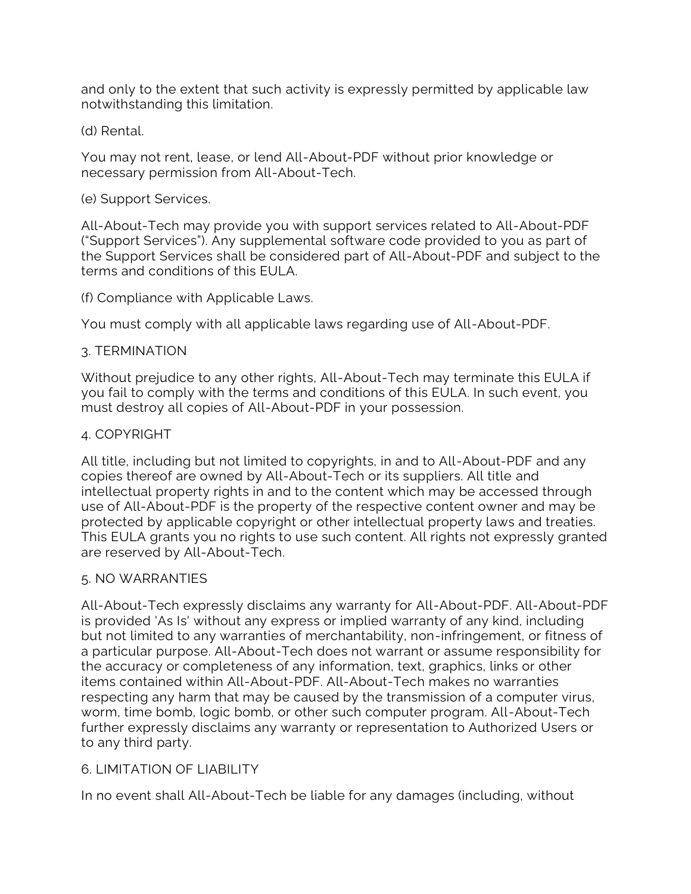and only to the extent that such activity is expressly permitted by applicable law notwithstanding this limitation.

(d) Rental.

You may not rent, lease, or lend All-About-PDF without prior knowledge or necessary permission from All-About-Tech.

#### (e) Support Services.

All-About-Tech may provide you with support services related to All-About-PDF ("Support Services"). Any supplemental software code provided to you as part of the Support Services shall be considered part of All-About-PDF and subject to the terms and conditions of this EULA.

(f) Compliance with Applicable Laws.

You must comply with all applicable laws regarding use of All-About-PDF.

## 3. TERMINATION

Without prejudice to any other rights, All-About-Tech may terminate this EULA if you fail to comply with the terms and conditions of this EULA. In such event, you must destroy all copies of All-About-PDF in your possession.

## 4. COPYRIGHT

All title, including but not limited to copyrights, in and to All-About-PDF and any copies thereof are owned by All-About-Tech or its suppliers. All title and intellectual property rights in and to the content which may be accessed through use of All-About-PDF is the property of the respective content owner and may be protected by applicable copyright or other intellectual property laws and treaties. This EULA grants you no rights to use such content. All rights not expressly granted are reserved by All-About-Tech.

#### 5. NO WARRANTIES

All-About-Tech expressly disclaims any warranty for All-About-PDF. All-About-PDF is provided 'As Is' without any express or implied warranty of any kind, including but not limited to any warranties of merchantability, non-infringement, or fitness of a particular purpose. All-About-Tech does not warrant or assume responsibility for the accuracy or completeness of any information, text, graphics, links or other items contained within All-About-PDF. All-About-Tech makes no warranties respecting any harm that may be caused by the transmission of a computer virus, worm, time bomb, logic bomb, or other such computer program. All-About-Tech further expressly disclaims any warranty or representation to Authorized Users or to any third party.

# 6. LIMITATION OF LIABILITY

In no event shall All-About-Tech be liable for any damages (including, without